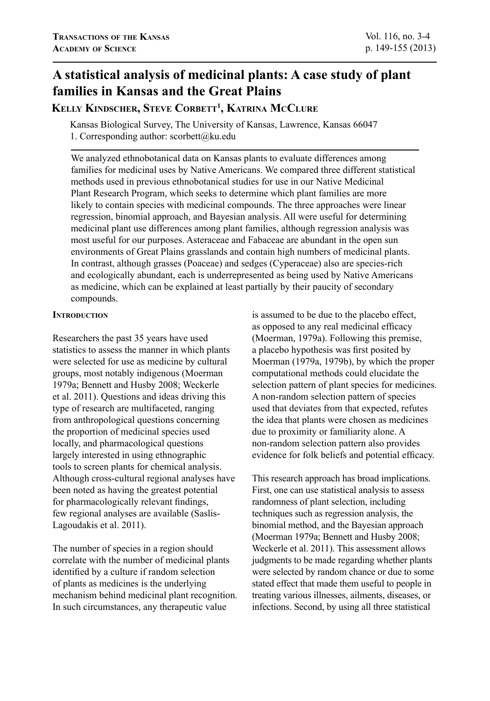# **A statistical analysis of medicinal plants: A case study of plant families in Kansas and the Great Plains**

## **Kelly Kindscher, Steve Corbett1 , Katrina McClure**

Kansas Biological Survey, The University of Kansas, Lawrence, Kansas 66047 1. Corresponding author: scorbett@ku.edu

We analyzed ethnobotanical data on Kansas plants to evaluate differences among families for medicinal uses by Native Americans. We compared three different statistical methods used in previous ethnobotanical studies for use in our Native Medicinal Plant Research Program, which seeks to determine which plant families are more likely to contain species with medicinal compounds. The three approaches were linear regression, binomial approach, and Bayesian analysis. All were useful for determining medicinal plant use differences among plant families, although regression analysis was most useful for our purposes. Asteraceae and Fabaceae are abundant in the open sun environments of Great Plains grasslands and contain high numbers of medicinal plants. In contrast, although grasses (Poaceae) and sedges (Cyperaceae) also are species-rich and ecologically abundant, each is underrepresented as being used by Native Americans as medicine, which can be explained at least partially by their paucity of secondary compounds.

## **INTRODUCTION**

Researchers the past 35 years have used statistics to assess the manner in which plants were selected for use as medicine by cultural groups, most notably indigenous (Moerman 1979a; Bennett and Husby 2008; Weckerle et al. 2011). Questions and ideas driving this type of research are multifaceted, ranging from anthropological questions concerning the proportion of medicinal species used locally, and pharmacological questions largely interested in using ethnographic tools to screen plants for chemical analysis. Although cross-cultural regional analyses have been noted as having the greatest potential for pharmacologically relevant findings, few regional analyses are available (Saslis-Lagoudakis et al. 2011).

The number of species in a region should correlate with the number of medicinal plants identified by a culture if random selection of plants as medicines is the underlying mechanism behind medicinal plant recognition. In such circumstances, any therapeutic value

is assumed to be due to the placebo effect, as opposed to any real medicinal efficacy (Moerman, 1979a). Following this premise, a placebo hypothesis was first posited by Moerman (1979a, 1979b), by which the proper computational methods could elucidate the selection pattern of plant species for medicines. A non-random selection pattern of species used that deviates from that expected, refutes the idea that plants were chosen as medicines due to proximity or familiarity alone. A non-random selection pattern also provides evidence for folk beliefs and potential efficacy.

This research approach has broad implications. First, one can use statistical analysis to assess randomness of plant selection, including techniques such as regression analysis, the binomial method, and the Bayesian approach (Moerman 1979a; Bennett and Husby 2008; Weckerle et al. 2011). This assessment allows judgments to be made regarding whether plants were selected by random chance or due to some stated effect that made them useful to people in treating various illnesses, ailments, diseases, or infections. Second, by using all three statistical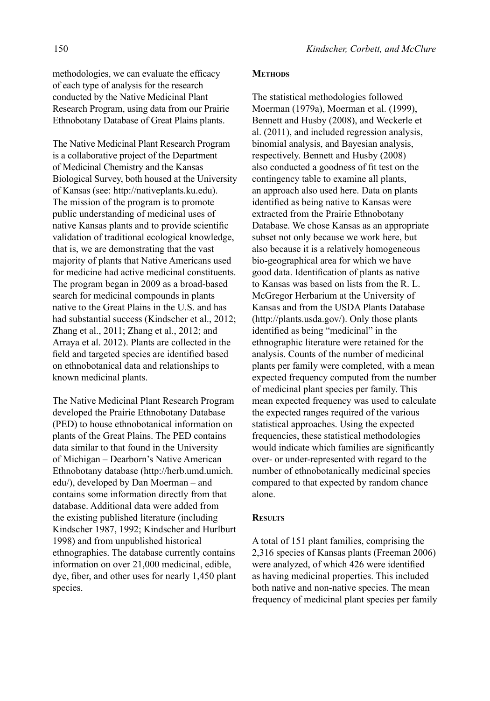methodologies, we can evaluate the efficacy of each type of analysis for the research conducted by the Native Medicinal Plant Research Program, using data from our Prairie Ethnobotany Database of Great Plains plants.

The Native Medicinal Plant Research Program is a collaborative project of the Department of Medicinal Chemistry and the Kansas Biological Survey, both housed at the University of Kansas (see: http://nativeplants.ku.edu). The mission of the program is to promote public understanding of medicinal uses of native Kansas plants and to provide scientific validation of traditional ecological knowledge, that is, we are demonstrating that the vast majority of plants that Native Americans used for medicine had active medicinal constituents. The program began in 2009 as a broad-based search for medicinal compounds in plants native to the Great Plains in the U.S. and has had substantial success (Kindscher et al., 2012; Zhang et al., 2011; Zhang et al., 2012; and Arraya et al. 2012). Plants are collected in the field and targeted species are identified based on ethnobotanical data and relationships to known medicinal plants.

The Native Medicinal Plant Research Program developed the Prairie Ethnobotany Database (PED) to house ethnobotanical information on plants of the Great Plains. The PED contains data similar to that found in the University of Michigan – Dearborn's Native American Ethnobotany database (http://herb.umd.umich. edu/), developed by Dan Moerman – and contains some information directly from that database. Additional data were added from the existing published literature (including Kindscher 1987, 1992; Kindscher and Hurlburt 1998) and from unpublished historical ethnographies. The database currently contains information on over 21,000 medicinal, edible, dye, fiber, and other uses for nearly 1,450 plant species.

### **METHODS**

The statistical methodologies followed Moerman (1979a), Moerman et al. (1999), Bennett and Husby (2008), and Weckerle et al. (2011), and included regression analysis, binomial analysis, and Bayesian analysis, respectively. Bennett and Husby (2008) also conducted a goodness of fit test on the contingency table to examine all plants, an approach also used here. Data on plants identified as being native to Kansas were extracted from the Prairie Ethnobotany Database. We chose Kansas as an appropriate subset not only because we work here, but also because it is a relatively homogeneous bio-geographical area for which we have good data. Identification of plants as native to Kansas was based on lists from the R. L. McGregor Herbarium at the University of Kansas and from the USDA Plants Database (http://plants.usda.gov/). Only those plants identified as being "medicinal" in the ethnographic literature were retained for the analysis. Counts of the number of medicinal plants per family were completed, with a mean expected frequency computed from the number of medicinal plant species per family. This mean expected frequency was used to calculate the expected ranges required of the various statistical approaches. Using the expected frequencies, these statistical methodologies would indicate which families are significantly over- or under-represented with regard to the number of ethnobotanically medicinal species compared to that expected by random chance alone.

## **Results**

A total of 151 plant families, comprising the 2,316 species of Kansas plants (Freeman 2006) were analyzed, of which 426 were identified as having medicinal properties. This included both native and non-native species. The mean frequency of medicinal plant species per family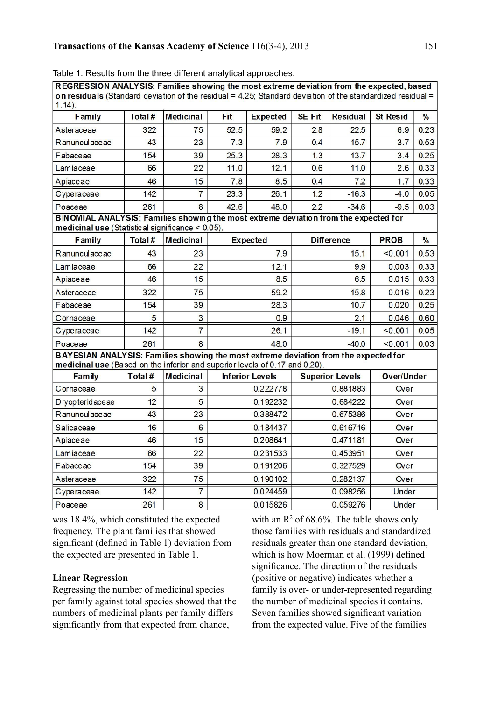| on residuals (Standard deviation of the residual = 4.25; Standard deviation of the standardized residual =<br>$1.14$ ).                                             |        | н Андегою. Гаппез эпомпу что тоэселетно чеманон понгато слросса, п |          |                        |                  |                        |                   |               |  |
|---------------------------------------------------------------------------------------------------------------------------------------------------------------------|--------|--------------------------------------------------------------------|----------|------------------------|------------------|------------------------|-------------------|---------------|--|
| <b>Family</b>                                                                                                                                                       | Total# | <b>Medicinal</b>                                                   | Fit      | <b>Expected</b>        | <b>SE Fit</b>    | <b>Residual</b>        | <b>St Resid</b>   | $\frac{0}{6}$ |  |
| Asteraceae                                                                                                                                                          | 322    | 75                                                                 | 52.5     | 59.2                   | 2.8              | 22.5                   | 6.9               | 0.23          |  |
| Ranunculaceae                                                                                                                                                       | 43     | 23                                                                 | 7.3      | 7.9                    | 0.4              | 15.7                   | 3.7               | 0.53          |  |
| Fabaceae                                                                                                                                                            | 154    | 39                                                                 | 25.3     | 28.3                   | 1.3              | 13.7                   | 3.4               | 0.25          |  |
| Lamiaceae                                                                                                                                                           | 66     | 22                                                                 | 11.0     | 12.1                   | 0.6              | 11.0                   | 2.6               | 0.33          |  |
| Apiaceae                                                                                                                                                            | 46     | 15                                                                 | 7.8      | 8.5                    | 0.4              | 7.2                    | 1.7               | 0.33          |  |
| Cyperaceae                                                                                                                                                          | 142    | $\overline{7}$                                                     | 23.3     | 26.1                   | 1.2              | $-16.3$                | $-4.0$            | 0.05          |  |
| Poaceae                                                                                                                                                             | 261    | 8                                                                  | 42.6     | 48.0                   | 2.2              | $-34.6$                | $-9.5$            | 0.03          |  |
| BINOMIAL ANALYSIS: Families showing the most extreme deviation from the expected for                                                                                |        |                                                                    |          |                        |                  |                        |                   |               |  |
| medicinal use (Statistical significance < 0.05).                                                                                                                    |        |                                                                    |          |                        |                  |                        |                   |               |  |
| <b>Family</b>                                                                                                                                                       | Total# | <b>Medicinal</b>                                                   |          | <b>Expected</b>        |                  | <b>Difference</b>      | <b>PROB</b>       | $\frac{0}{6}$ |  |
| Ranunculaceae                                                                                                                                                       | 43     | 23                                                                 |          | 7.9                    | 15.1             |                        | < 0.001           | 0.53          |  |
| Lamiaceae                                                                                                                                                           | 66     | 22                                                                 |          | 12.1                   |                  | 9.9                    | 0.003             | 033           |  |
| Apiaceae                                                                                                                                                            | 46     | 15                                                                 | 8.5      |                        | 6.5              |                        | 0.015             | 0.33          |  |
| Asteraceae                                                                                                                                                          | 322    | 75                                                                 | 59.2     |                        | 15.8             |                        | 0.016             | 0.23          |  |
| Fabaceae                                                                                                                                                            | 154    | 39                                                                 | 28.3     |                        | 10.7             |                        | 0.020             | 0.25          |  |
| Cornaceae                                                                                                                                                           | 5      | 3                                                                  | 0.9      |                        | 2.1              |                        | 0.046             | 0.60          |  |
| Cyperaceae                                                                                                                                                          | 142    | $\overline{7}$                                                     | 26.1     |                        | $-19.1$          |                        | < 0.001           | 0.05          |  |
| Poaceae                                                                                                                                                             | 261    | 8                                                                  |          | 48.0<br>$-40.0$        |                  | < 0.001                | 0.03              |               |  |
| BAYESIAN ANALYSIS: Families showing the most extreme deviation from the expected for<br>medicinal use (Based on the inferior and superior levels of 0.17 and 0.20). |        |                                                                    |          |                        |                  |                        |                   |               |  |
| Family                                                                                                                                                              | Total# | <b>Medicinal</b>                                                   |          | <b>Inferior Levels</b> |                  | <b>Superior Levels</b> | <b>Over/Under</b> |               |  |
| Cornaceae                                                                                                                                                           | 5      | 3                                                                  |          | 0.222778               | 0.881883<br>Over |                        |                   |               |  |
| Dryopteridaceae                                                                                                                                                     | 12     | 5                                                                  |          | 0.192232               |                  | 0.684222<br>Over       |                   |               |  |
| Ranunculaceae                                                                                                                                                       | 43     | 23                                                                 |          | 0.388472               | 0.675386         |                        | Over              |               |  |
| Salicaceae                                                                                                                                                          | 16     | 6                                                                  | 0.184437 |                        |                  | 0.616716               |                   | Over          |  |
| Apiaceae                                                                                                                                                            | 46     | 15                                                                 |          | 0.208641               |                  | 0.471181               | Over              |               |  |
| Lamiaceae                                                                                                                                                           | 66     | 22                                                                 | 0.231533 |                        |                  | 0.453951               | Over              |               |  |
| Fabaceae                                                                                                                                                            | 154    | 39                                                                 | 0.191206 |                        | 0.327529         |                        | Over              |               |  |
| Asteraceae                                                                                                                                                          | 322    | 75                                                                 |          | 0.190102               |                  | 0.282137               |                   | Over          |  |
| Cyperaceae                                                                                                                                                          | 142    | $\overline{7}$                                                     |          | 0.024459               | 0.098256         |                        | Under             |               |  |
| Poaceae                                                                                                                                                             | 261    | 8                                                                  |          | 0.015826<br>0.059276   |                  | Under                  |                   |               |  |

Table 1. Results from the three different analytical approaches.<br>TREGRESSION ANALYSIS: Eamilies showing the most extreme deviation from the expected, based

was 18.4%, which constituted the expected frequency. The plant families that showed significant (defined in Table 1) deviation from the expected are presented in Table 1.

## **Linear Regression**

Regressing the number of medicinal species per family against total species showed that the numbers of medicinal plants per family differs significantly from that expected from chance,

with an  $\mathbb{R}^2$  of 68.6%. The table shows only those families with residuals and standardized residuals greater than one standard deviation, which is how Moerman et al. (1999) defined significance. The direction of the residuals (positive or negative) indicates whether a family is over- or under-represented regarding the number of medicinal species it contains. Seven families showed significant variation from the expected value. Five of the families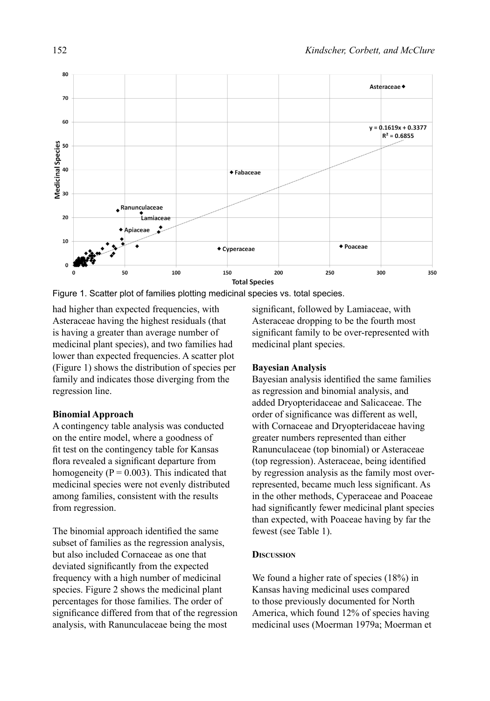

Figure 1. Scatter plot of families plotting medicinal species vs. total species.

had higher than expected frequencies, with Asteraceae having the highest residuals (that is having a greater than average number of medicinal plant species), and two families had lower than expected frequencies. A scatter plot (Figure 1) shows the distribution of species per family and indicates those diverging from the regression line.

## **Binomial Approach**

A contingency table analysis was conducted on the entire model, where a goodness of fit test on the contingency table for Kansas flora revealed a significant departure from homogeneity ( $P = 0.003$ ). This indicated that medicinal species were not evenly distributed among families, consistent with the results from regression.

The binomial approach identified the same subset of families as the regression analysis, but also included Cornaceae as one that deviated significantly from the expected frequency with a high number of medicinal species. Figure 2 shows the medicinal plant percentages for those families. The order of significance differed from that of the regression analysis, with Ranunculaceae being the most

significant, followed by Lamiaceae, with Asteraceae dropping to be the fourth most significant family to be over-represented with medicinal plant species.

### **Bayesian Analysis**

Bayesian analysis identified the same families as regression and binomial analysis, and added Dryopteridaceae and Salicaceae. The order of significance was different as well, with Cornaceae and Dryopteridaceae having greater numbers represented than either Ranunculaceae (top binomial) or Asteraceae (top regression). Asteraceae, being identified by regression analysis as the family most overrepresented, became much less significant. As in the other methods, Cyperaceae and Poaceae had significantly fewer medicinal plant species than expected, with Poaceae having by far the fewest (see Table 1).

## **Discussion**

We found a higher rate of species (18%) in Kansas having medicinal uses compared to those previously documented for North America, which found 12% of species having medicinal uses (Moerman 1979a; Moerman et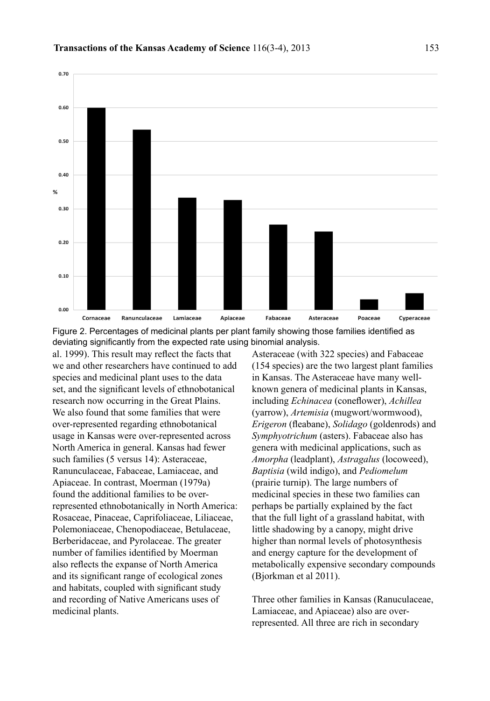

Figure 2. Percentages of medicinal plants per plant family showing those families identified as deviating significantly from the expected rate using binomial analysis.

al. 1999). This result may reflect the facts that we and other researchers have continued to add species and medicinal plant uses to the data set, and the significant levels of ethnobotanical research now occurring in the Great Plains. We also found that some families that were over-represented regarding ethnobotanical usage in Kansas were over-represented across North America in general. Kansas had fewer such families (5 versus 14): Asteraceae, Ranunculaceae, Fabaceae, Lamiaceae, and Apiaceae. In contrast, Moerman (1979a) found the additional families to be overrepresented ethnobotanically in North America: Rosaceae, Pinaceae, Caprifoliaceae, Liliaceae, Polemoniaceae, Chenopodiaceae, Betulaceae, Berberidaceae, and Pyrolaceae. The greater number of families identified by Moerman also reflects the expanse of North America and its significant range of ecological zones and habitats, coupled with significant study and recording of Native Americans uses of medicinal plants.

Asteraceae (with 322 species) and Fabaceae (154 species) are the two largest plant families in Kansas. The Asteraceae have many wellknown genera of medicinal plants in Kansas, including *Echinacea* (coneflower), *Achillea*  (yarrow), *Artemisia* (mugwort/wormwood), *Erigeron* (fleabane), *Solidago* (goldenrods) and *Symphyotrichum* (asters). Fabaceae also has genera with medicinal applications, such as *Amorpha* (leadplant), *Astragalus* (locoweed), *Baptisia* (wild indigo), and *Pediomelum* (prairie turnip). The large numbers of medicinal species in these two families can perhaps be partially explained by the fact that the full light of a grassland habitat, with little shadowing by a canopy, might drive higher than normal levels of photosynthesis and energy capture for the development of metabolically expensive secondary compounds (Bjorkman et al 2011).

Three other families in Kansas (Ranuculaceae, Lamiaceae, and Apiaceae) also are overrepresented. All three are rich in secondary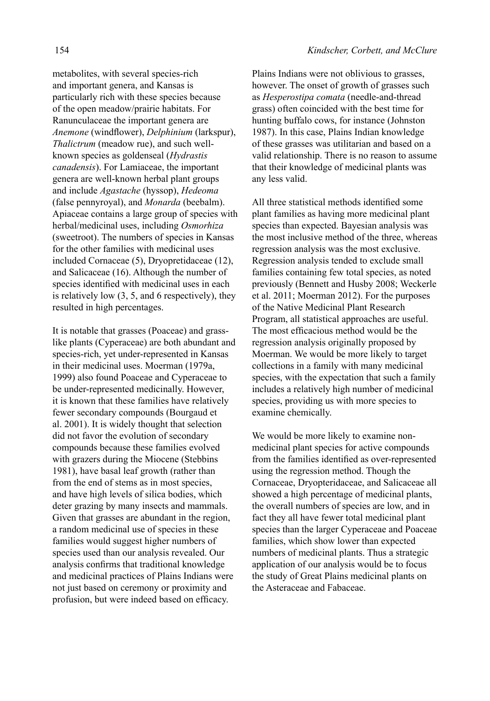metabolites, with several species-rich and important genera, and Kansas is particularly rich with these species because of the open meadow/prairie habitats. For Ranunculaceae the important genera are *Anemone* (windflower), *Delphinium* (larkspur), *Thalictrum* (meadow rue), and such wellknown species as goldenseal (*Hydrastis canadensis*). For Lamiaceae, the important genera are well-known herbal plant groups and include *Agastache* (hyssop), *Hedeoma* (false pennyroyal), and *Monarda* (beebalm). Apiaceae contains a large group of species with herbal/medicinal uses, including *Osmorhiza* (sweetroot). The numbers of species in Kansas for the other families with medicinal uses included Cornaceae (5), Dryopretidaceae (12), and Salicaceae (16). Although the number of species identified with medicinal uses in each is relatively low (3, 5, and 6 respectively), they resulted in high percentages.

It is notable that grasses (Poaceae) and grasslike plants (Cyperaceae) are both abundant and species-rich, yet under-represented in Kansas in their medicinal uses. Moerman (1979a, 1999) also found Poaceae and Cyperaceae to be under-represented medicinally. However, it is known that these families have relatively fewer secondary compounds (Bourgaud et al. 2001). It is widely thought that selection did not favor the evolution of secondary compounds because these families evolved with grazers during the Miocene (Stebbins 1981), have basal leaf growth (rather than from the end of stems as in most species, and have high levels of silica bodies, which deter grazing by many insects and mammals. Given that grasses are abundant in the region, a random medicinal use of species in these families would suggest higher numbers of species used than our analysis revealed. Our analysis confirms that traditional knowledge and medicinal practices of Plains Indians were not just based on ceremony or proximity and profusion, but were indeed based on efficacy.

Plains Indians were not oblivious to grasses, however. The onset of growth of grasses such as *Hesperostipa comata* (needle-and-thread grass) often coincided with the best time for hunting buffalo cows, for instance (Johnston 1987). In this case, Plains Indian knowledge of these grasses was utilitarian and based on a valid relationship. There is no reason to assume that their knowledge of medicinal plants was any less valid.

All three statistical methods identified some plant families as having more medicinal plant species than expected. Bayesian analysis was the most inclusive method of the three, whereas regression analysis was the most exclusive. Regression analysis tended to exclude small families containing few total species, as noted previously (Bennett and Husby 2008; Weckerle et al. 2011; Moerman 2012). For the purposes of the Native Medicinal Plant Research Program, all statistical approaches are useful. The most efficacious method would be the regression analysis originally proposed by Moerman. We would be more likely to target collections in a family with many medicinal species, with the expectation that such a family includes a relatively high number of medicinal species, providing us with more species to examine chemically.

We would be more likely to examine nonmedicinal plant species for active compounds from the families identified as over-represented using the regression method. Though the Cornaceae, Dryopteridaceae, and Salicaceae all showed a high percentage of medicinal plants, the overall numbers of species are low, and in fact they all have fewer total medicinal plant species than the larger Cyperaceae and Poaceae families, which show lower than expected numbers of medicinal plants. Thus a strategic application of our analysis would be to focus the study of Great Plains medicinal plants on the Asteraceae and Fabaceae.